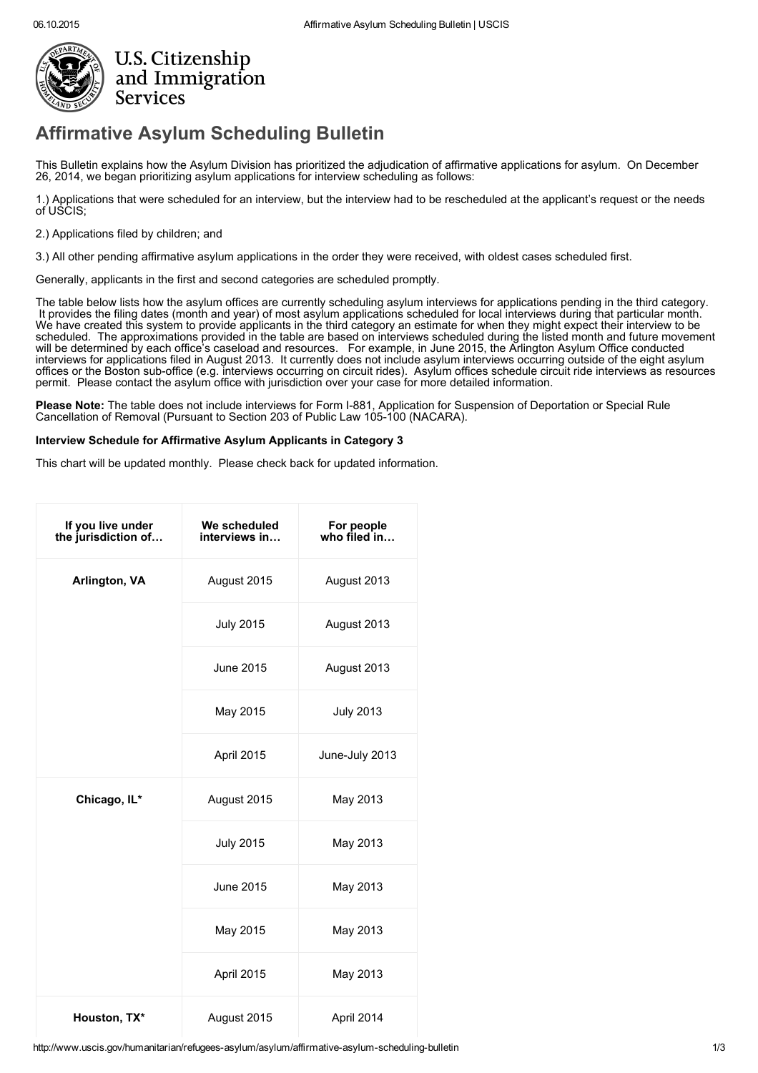

## [Affirmative](http://www.uscis.gov/) Asylum Scheduling Bulletin

This Bulletin explains how the Asylum Division has prioritized the adjudication of affirmative applications for asylum. On December 26, 2014, we began prioritizing asylum applications for interview scheduling as follows:

1.) Applications that were scheduled for an interview, but the interview had to be rescheduled at the applicant's request or the needs of USCIS;

2.) Applications filed by children; and

3.) All other pending affirmative asylum applications in the order they were received, with oldest cases scheduled first.

Generally, applicants in the first and second categories are scheduled promptly.

The table below lists how the asylum offices are currently scheduling asylum interviews for applications pending in the third category.<br>It provides the filing dates (month and year) of most asylum applications scheduled fo It provides the filing dates (month and year) of most asylum applications scheduled for local interviews during that particular month.<br>We have created this system to provide applicants in the third category an estimate for scheduled. The approximations provided in the table are based on interviews scheduled during the listed month and future movement will be determined by each office's caseload and resources. For example, in June 2015, the Arlington Asylum Office conducted interviews for applications filed in August 2013. It currently does not include asylum interviews occurring outside of the eight asylum offices or the Boston sub-office (e.g. interviews occurring on circuit rides). Asylum offices schedule circuit ride interviews as resources permit. Please contact the asylum office with jurisdiction over your case for more detailed information.

Please Note: The table does not include interviews for Form I-881, Application for Suspension of Deportation or Special Rule [Cancellation](http://www.uscis.gov/es/formularios/i-881) of Removal (Pursuant to Section 203 of Public Law 105-100 (NACARA).

## Interview Schedule for Affirmative Asylum Applicants in Category 3

This chart will be updated monthly. Please check back for updated information.

| If you live under<br>the jurisdiction of | We scheduled<br>interviews in | For people<br>who filed in |
|------------------------------------------|-------------------------------|----------------------------|
| Arlington, VA                            | August 2015                   | August 2013                |
|                                          | <b>July 2015</b>              | August 2013                |
|                                          | June 2015                     | August 2013                |
|                                          | May 2015                      | <b>July 2013</b>           |
|                                          | April 2015                    | June-July 2013             |
| Chicago, IL*                             | August 2015                   | May 2013                   |
|                                          | <b>July 2015</b>              | May 2013                   |
|                                          | June 2015                     | May 2013                   |
|                                          | May 2015                      | May 2013                   |
|                                          | April 2015                    | May 2013                   |
| Houston, TX*                             | August 2015                   | April 2014                 |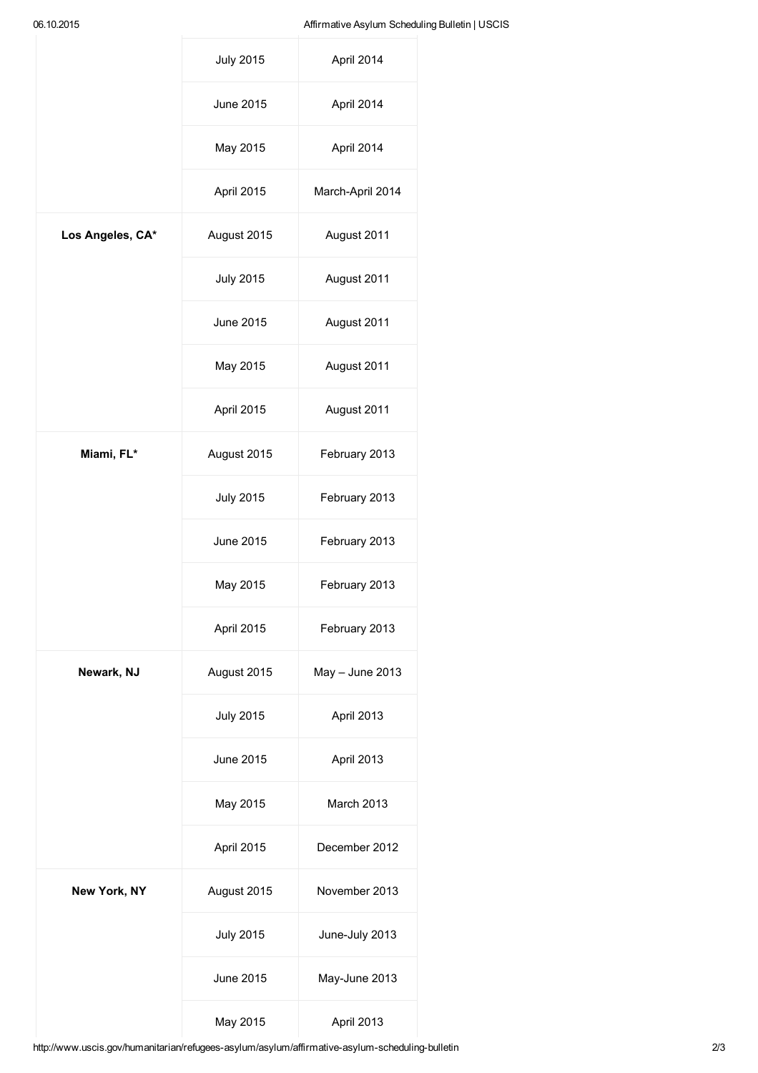|                  | <b>July 2015</b> | April 2014        |
|------------------|------------------|-------------------|
|                  | June 2015        | April 2014        |
|                  | May 2015         | April 2014        |
|                  | April 2015       | March-April 2014  |
| Los Angeles, CA* | August 2015      | August 2011       |
|                  | <b>July 2015</b> | August 2011       |
|                  | June 2015        | August 2011       |
|                  | May 2015         | August 2011       |
|                  | April 2015       | August 2011       |
| Miami, FL*       | August 2015      | February 2013     |
|                  | <b>July 2015</b> | February 2013     |
|                  | June 2015        | February 2013     |
|                  | May 2015         | February 2013     |
|                  | April 2015       | February 2013     |
| Newark, NJ       | August 2015      | $May - June 2013$ |
|                  | <b>July 2015</b> | April 2013        |
|                  | June 2015        | April 2013        |
|                  | May 2015         | March 2013        |
|                  | April 2015       | December 2012     |
| New York, NY     | August 2015      | November 2013     |
|                  | <b>July 2015</b> | June-July 2013    |
|                  | June 2015        | May-June 2013     |
|                  | May 2015         | April 2013        |

http://www.uscis.gov/humanitarian/refugees-asylum/asylum/affirmative-asylum-scheduling-bulletin 2/3